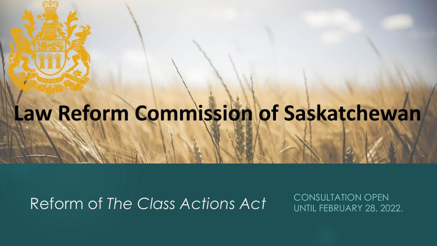# Law Reform Commission of Saskatchewan

#### Reform of *The Class Actions Act* CONSULTATION OPEN

UNTIL FEBRUARY 28, 2022.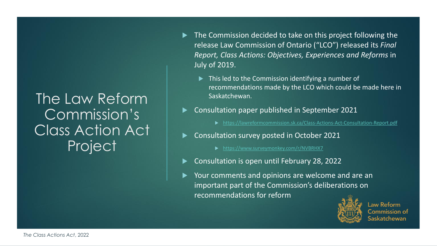#### The Law Reform Commission's Class Action Act Project

- ▶ The Commission decided to take on this project following the release Law Commission of Ontario ("LCO") released its *Final Report, Class Actions: Objectives, Experiences and Reforms* in July of 2019.
	- $\blacktriangleright$  This led to the Commission identifying a number of recommendations made by the LCO which could be made here in Saskatchewan.
- Consultation paper published in September 2021

<https://lawreformcommission.sk.ca/Class-Actions-Act-Consultation-Report.pdf>

Consultation survey posted in October 2021

<https://www.surveymonkey.com/r/NVBRHX7>

- Consultation is open until February 28, 2022
- Your comments and opinions are welcome and are an important part of the Commission's deliberations on recommendations for reform



**Law Reform** Commission of catchewan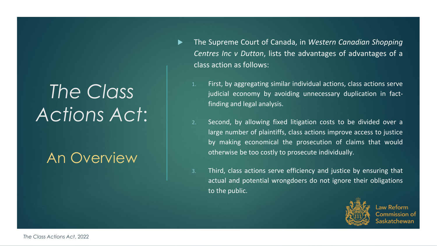# *The Class Actions Act*:

#### An Overview

- The Supreme Court of Canada, in *Western Canadian Shopping Centres Inc v Dutton*, lists the advantages of advantages of a class action as follows:
	- 1. First, by aggregating similar individual actions, class actions serve judicial economy by avoiding unnecessary duplication in factfinding and legal analysis.
	- 2. Second, by allowing fixed litigation costs to be divided over a large number of plaintiffs, class actions improve access to justice by making economical the prosecution of claims that would otherwise be too costly to prosecute individually.
	- 3. Third, class actions serve efficiency and justice by ensuring that actual and potential wrongdoers do not ignore their obligations to the public.



aw Reform iommission of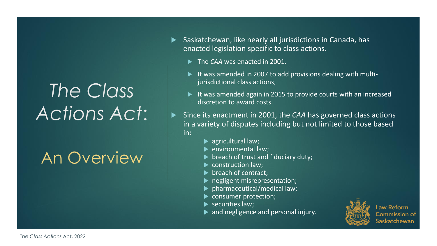# *The Class Actions Act*:

An Overview

- $\blacktriangleright$  Saskatchewan, like nearly all jurisdictions in Canada, has enacted legislation specific to class actions.
	- The *CAA* was enacted in 2001.
	- It was amended in 2007 to add provisions dealing with multijurisdictional class actions,
	- It was amended again in 2015 to provide courts with an increased discretion to award costs.
	- Since its enactment in 2001, the *CAA* has governed class actions in a variety of disputes including but not limited to those based in:
		- $\blacktriangleright$  agricultural law;
		- environmental law;
		- $\triangleright$  breach of trust and fiduciary duty;
		- construction law;
		- **breach of contract;**
		- negligent misrepresentation;
		- pharmaceutical/medical law;
		- consumer protection;
		- $\blacktriangleright$  securities law;
		- and negligence and personal injury.



**Law Reform** Commission of askatchewan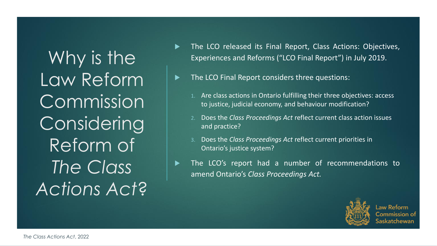Why is the Law Reform Commission Considering Reform of *The Class Actions Act*?

- The LCO released its Final Report, Class Actions: Objectives, Experiences and Reforms ("LCO Final Report") in July 2019.
- The LCO Final Report considers three questions:
	- 1. Are class actions in Ontario fulfilling their three objectives: access to justice, judicial economy, and behaviour modification?
	- 2. Does the *Class Proceedings Act* reflect current class action issues and practice?
	- 3. Does the *Class Proceedings Act* reflect current priorities in Ontario's justice system?
- The LCO's report had a number of recommendations to amend Ontario's *Class Proceedings Act.*



Law Reform Commission of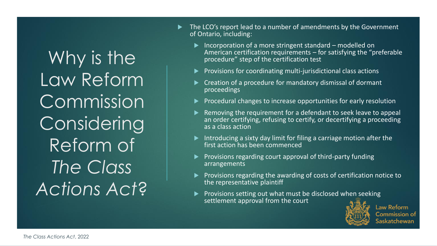Why is the Law Reform Commission Considering Reform of *The Class Actions Act*?

- The LCO's report lead to a number of amendments by the Government of Ontario, including:
	- ▶ Incorporation of a more stringent standard modelled on American certification requirements – for satisfying the "preferable procedure" step of the certification test
	- $\blacktriangleright$  Provisions for coordinating multi-jurisdictional class actions
	- ▶ Creation of a procedure for mandatory dismissal of dormant proceedings
	- $\blacktriangleright$  Procedural changes to increase opportunities for early resolution
	- Removing the requirement for a defendant to seek leave to appeal an order certifying, refusing to certify, or decertifying a proceeding as a class action
	- Introducing a sixty day limit for filing a carriage motion after the first action has been commenced
	- Provisions regarding court approval of third-party funding arrangements
	- Provisions regarding the awarding of costs of certification notice to the representative plaintiff
	- $\blacktriangleright$  Provisions setting out what must be disclosed when seeking settlement approval from the court



**Law Reform Commission of** askatchewan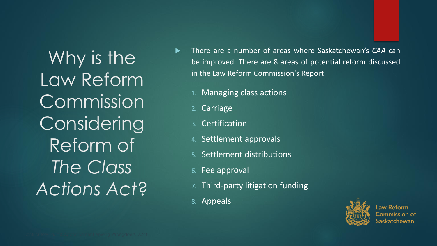Why is the Law Reform Commission Considering Reform of *The Class Actions Act*?

- There are a number of areas where Saskatchewan's *CAA* can be improved. There are 8 areas of potential reform discussed in the Law Reform Commission's Report:
	- 1. Managing class actions
	- 2. Carriage
	- **Certification**
	- 4. Settlement approvals
	- 5. Settlement distributions
	- 6. Fee approval
	- 7. Third-party litigation funding
	- 8. Appeals



aw Reform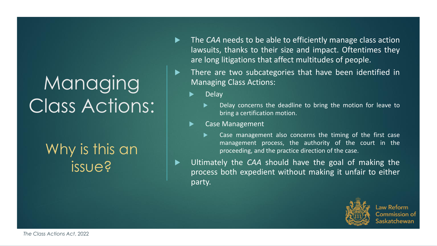#### Why is this an issue?

- The *CAA* needs to be able to efficiently manage class action lawsuits, thanks to their size and impact. Oftentimes they are long litigations that affect multitudes of people.
- ▶ There are two subcategories that have been identified in Managing Class Actions:
	- Delay
		- Delay concerns the deadline to bring the motion for leave to bring a certification motion.
	- Case Management
		- Case management also concerns the timing of the first case management process, the authority of the court in the proceeding, and the practice direction of the case.
- Ultimately the *CAA* should have the goal of making the process both expedient without making it unfair to either party.



Law Reform Commission of tchewan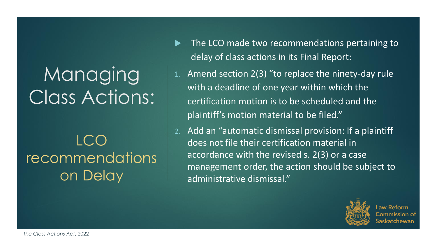#### LCO **recommendations** on Delay

- The LCO made two recommendations pertaining to delay of class actions in its Final Report:
- Amend section  $2(3)$  "to replace the ninety-day rule with a deadline of one year within which the certification motion is to be scheduled and the plaintiff's motion material to be filed."
- Add an "automatic dismissal provision: If a plaintiff does not file their certification material in accordance with the revised s. 2(3) or a case management order, the action should be subject to administrative dismissal."



aw Reform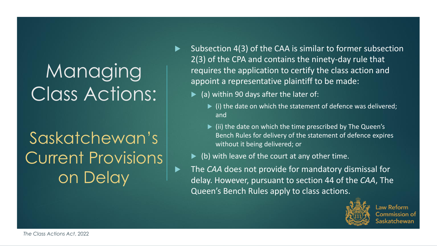## Saskatchewan's Current Provisions on Delay

- Subsection 4(3) of the CAA is similar to former subsection 2(3) of the CPA and contains the ninety-day rule that requires the application to certify the class action and appoint a representative plaintiff to be made:
	- $\blacktriangleright$  (a) within 90 days after the later of:
		- $\blacktriangleright$  (i) the date on which the statement of defence was delivered; and
		- $\blacktriangleright$  (ii) the date on which the time prescribed by The Queen's Bench Rules for delivery of the statement of defence expires without it being delivered; or
	- $\blacktriangleright$  (b) with leave of the court at any other time.
- ▶ The *CAA* does not provide for mandatory dismissal for delay. However, pursuant to section 44 of the *CAA*, The Queen's Bench Rules apply to class actions.



**Law Reform** Commission of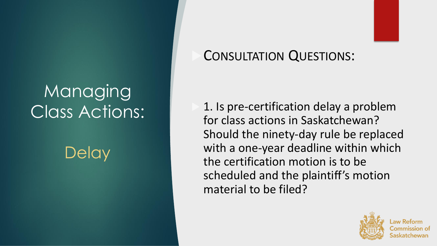**Delay** 

#### CONSULTATION QUESTIONS:

 1. Is pre-certification delay a problem for class actions in Saskatchewan? Should the ninety-day rule be replaced with a one-year deadline within which the certification motion is to be scheduled and the plaintiff's motion material to be filed?

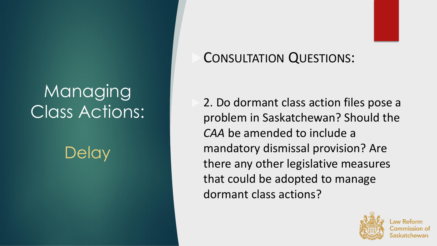**Delay** 

#### CONSULTATION QUESTIONS:

 2. Do dormant class action files pose a problem in Saskatchewan? Should the *CAA* be amended to include a mandatory dismissal provision? Are there any other legislative measures that could be adopted to manage dormant class actions?

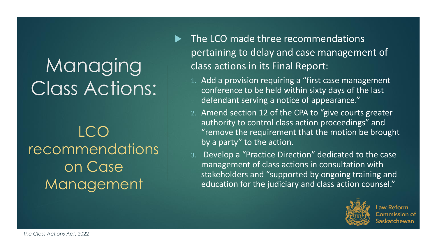LCO **recommendations** on Case Management

- The LCO made three recommendations pertaining to delay and case management of class actions in its Final Report:
	- 1. Add a provision requiring a "first case management conference to be held within sixty days of the last defendant serving a notice of appearance."
	- 2. Amend section 12 of the CPA to "give courts greater authority to control class action proceedings" and "remove the requirement that the motion be brought by a party" to the action.
	- 3. Develop a "Practice Direction" dedicated to the case management of class actions in consultation with stakeholders and "supported by ongoing training and education for the judiciary and class action counsel."



**Law Reform** Commission of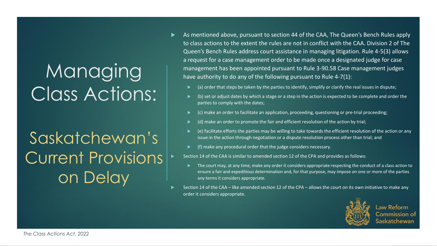Saskatchewan's Current Provisions on Delay

- As mentioned above, pursuant to section 44 of the CAA, The Queen's Bench Rules apply to class actions to the extent the rules are not in conflict with the CAA. Division 2 of The Queen's Bench Rules address court assistance in managing litigation. Rule 4-5(3) allows a request for a case management order to be made once a designated judge for case management has been appointed pursuant to Rule 3-90.58 Case management judges have authority to do any of the following pursuant to Rule 4-7(1):
	- (a) order that steps be taken by the parties to identify, simplify or clarify the real issues in dispute;
	- (b) set or adjust dates by which a stage or a step in the action is expected to be complete and order the parties to comply with the dates;
	- (c) make an order to facilitate an application, proceeding, questioning or pre-trial proceeding;
	- (d) make an order to promote the fair and efficient resolution of the action by trial;
	- (e) facilitate efforts the parties may be willing to take towards the efficient resolution of the action or any issue in the action through negotiation or a dispute resolution process other than trial; and
	- (f) make any procedural order that the judge considers necessary.
	- Section 14 of the CAA is similar to amended section 12 of the CPA and provides as follows:
		- The court may, at any time, make any order it considers appropriate respecting the conduct of a class action to ensure a fair and expeditious determination and, for that purpose, may impose on one or more of the parties any terms it considers appropriate.
- Section 14 of the CAA like amended section 12 of the CPA allows the court on its own initiative to make any order it considers appropriate.



Law Reform Commission of atchewan: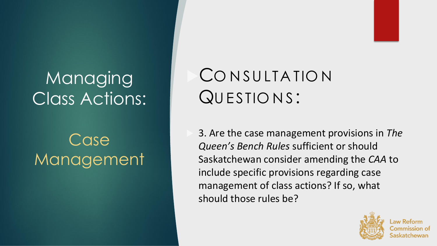## Case Management

## CONSULTATION QUESTIONS:

 3. Are the case management provisions in *The Queen's Bench Rules* sufficient or should Saskatchewan consider amending the *CAA* to include specific provisions regarding case management of class actions? If so, what should those rules be?

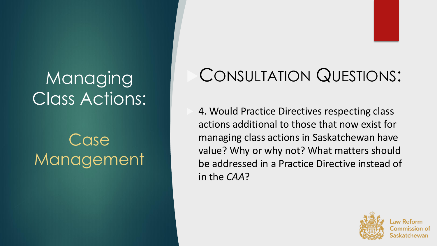## Case Management

## CONSULTATION QUESTIONS:

 4. Would Practice Directives respecting class actions additional to those that now exist for managing class actions in Saskatchewan have value? Why or why not? What matters should be addressed in a Practice Directive instead of in the *CAA*?

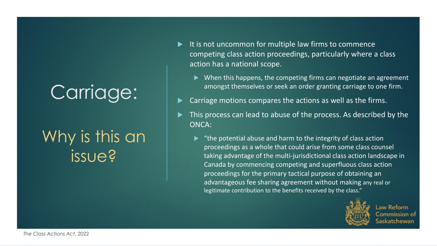## Why is this an issue?

- It is not uncommon for multiple law firms to commence competing class action proceedings, particularly where a class action has a national scope.
	- $\triangleright$  When this happens, the competing firms can negotiate an agreement amongst themselves or seek an order granting carriage to one firm.
- Carriage motions compares the actions as well as the firms.
- This process can lead to abuse of the process. As described by the ONCA:
	- $\blacktriangleright$  "the potential abuse and harm to the integrity of class action proceedings as a whole that could arise from some class counsel taking advantage of the multi-jurisdictional class action landscape in Canada by commencing competing and superfluous class action proceedings for the primary tactical purpose of obtaining an advantageous fee sharing agreement without making any real or legitimate contribution to the benefits received by the class."



Law Reform Commission of atchewan: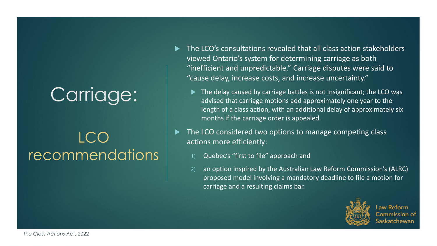#### LCO recommendations

- The LCO's consultations revealed that all class action stakeholders viewed Ontario's system for determining carriage as both "inefficient and unpredictable." Carriage disputes were said to "cause delay, increase costs, and increase uncertainty."
	- ▶ The delay caused by carriage battles is not insignificant; the LCO was advised that carriage motions add approximately one year to the length of a class action, with an additional delay of approximately six months if the carriage order is appealed.
- The LCO considered two options to manage competing class actions more efficiently:
	- 1) Quebec's "first to file" approach and
	- 2) an option inspired by the Australian Law Reform Commission's (ALRC) proposed model involving a mandatory deadline to file a motion for carriage and a resulting claims bar.



Law Reform Commission of tchewan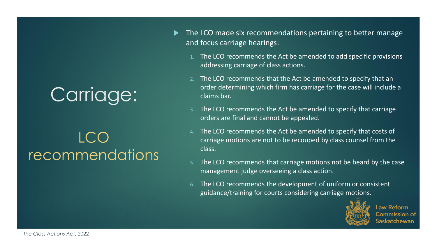#### LCO recommendations

- The LCO made six recommendations pertaining to better manage and focus carriage hearings:
	- 1. The LCO recommends the Act be amended to add specific provisions addressing carriage of class actions.
	- 2. The LCO recommends that the Act be amended to specify that an order determining which firm has carriage for the case will include a claims bar.
	- The LCO recommends the Act be amended to specify that carriage orders are final and cannot be appealed.
	- 4. The LCO recommends the Act be amended to specify that costs of carriage motions are not to be recouped by class counsel from the class.
	- The LCO recommends that carriage motions not be heard by the case management judge overseeing a class action.
	- The LCO recommends the development of uniform or consistent guidance/training for courts considering carriage motions.



**Law Reform** Commission of ratchewan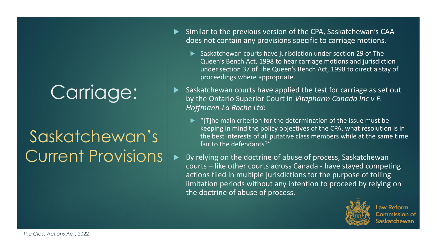## Saskatchewan's Current Provisions

- Similar to the previous version of the CPA, Saskatchewan's CAA does not contain any provisions specific to carriage motions.
	- $\blacktriangleright$  Saskatchewan courts have jurisdiction under section 29 of The Queen's Bench Act, 1998 to hear carriage motions and jurisdiction under section 37 of The Queen's Bench Act, 1998 to direct a stay of proceedings where appropriate.
- Saskatchewan courts have applied the test for carriage as set out by the Ontario Superior Court in *Vitapharm Canada Inc v F. Hoffmann-La Roche Ltd*:
	- $\blacktriangleright$  "[T]he main criterion for the determination of the issue must be keeping in mind the policy objectives of the CPA, what resolution is in the best interests of all putative class members while at the same time fair to the defendants?"
- By relying on the doctrine of abuse of process, Saskatchewan courts – like other courts across Canada - have stayed competing actions filed in multiple jurisdictions for the purpose of tolling limitation periods without any intention to proceed by relying on the doctrine of abuse of process.



**Law Reform Commission of** katchewan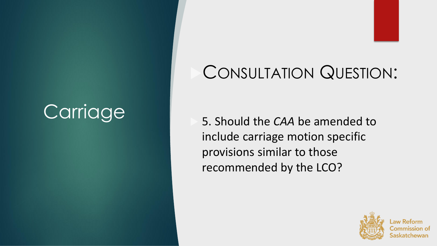## CONSULTATION QUESTION:

 5. Should the *CAA* be amended to include carriage motion specific provisions similar to those recommended by the LCO?

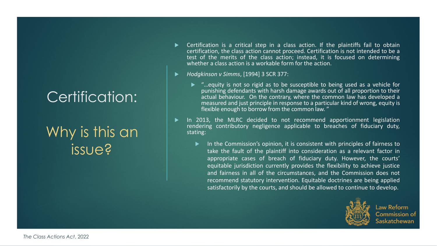#### Why is this an issue?

- Certification is a critical step in a class action. If the plaintiffs fail to obtain certification, the class action cannot proceed. Certification is not intended to be a test of the merits of the class action; instead, it is focused on determining whether a class action is a workable form for the action.
- *Hodgkinson v Simms*, [1994] 3 SCR 377:
	- ► "...equity is not so rigid as to be susceptible to being used as a vehicle for punishing defendants with harsh damage awards out of all proportion to their actual behaviour. On the contrary, where the common law has developed a measured and just principle in response to a particular kind of wrong, equity is flexible enough to borrow from the common law. "
- In 2013, the MLRC decided to not recommend apportionment legislation rendering contributory negligence applicable to breaches of fiduciary duty, stating:
	- $\blacktriangleright$  In the Commission's opinion, it is consistent with principles of fairness to take the fault of the plaintiff into consideration as a relevant factor in appropriate cases of breach of fiduciary duty. However, the courts' equitable jurisdiction currently provides the flexibility to achieve justice and fairness in all of the circumstances, and the Commission does not recommend statutory intervention. Equitable doctrines are being applied satisfactorily by the courts, and should be allowed to continue to develop.



**Law Reform Commission of** iaskatchewan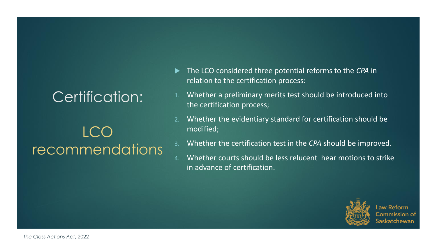#### LCO recommendations

- The LCO considered three potential reforms to the *CPA* in relation to the certification process:
- 1. Whether a preliminary merits test should be introduced into the certification process;
- 2. Whether the evidentiary standard for certification should be modified;
- 3. Whether the certification test in the *CPA* should be improved.
- 4. Whether courts should be less relucent hear motions to strike in advance of certification.



Law Reform Commission of atchewan: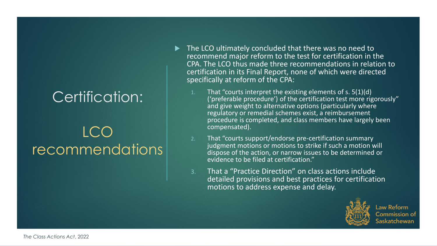#### LCO recommendations

- ▶ The LCO ultimately concluded that there was no need to recommend major reform to the test for certification in the CPA. The LCO thus made three recommendations in relation to certification in its Final Report, none of which were directed specifically at reform of the CPA:
	- That "courts interpret the existing elements of s.  $5(1)(d)$ ('preferable procedure') of the certification test more rigorously" and give weight to alternative options (particularly where regulatory or remedial schemes exist, a reimbursement procedure is completed, and class members have largely been compensated).
	- 2. That "courts support/endorse pre-certification summary judgment motions or motions to strike if such a motion will dispose of the action, or narrow issues to be determined or evidence to be filed at certification."
	- 3. That a "Practice Direction" on class actions include detailed provisions and best practices for certification motions to address expense and delay.



**Law Reform** Commission of askatchewan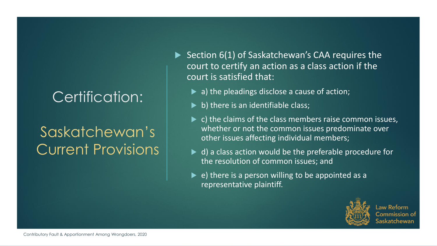#### Saskatchewan's Current Provisions

 $\blacktriangleright$  Section 6(1) of Saskatchewan's CAA requires the court to certify an action as a class action if the court is satisfied that:

- ▶ a) the pleadings disclose a cause of action;
- $\triangleright$  b) there is an identifiable class;
- $\blacktriangleright$  c) the claims of the class members raise common issues, whether or not the common issues predominate over other issues affecting individual members;
- ▶ d) a class action would be the preferable procedure for the resolution of common issues; and
- $\triangleright$  e) there is a person willing to be appointed as a representative plaintiff.



Law Reform Commission of atchewan: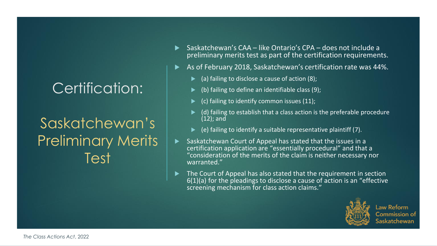#### Saskatchewan's Preliminary Merits Test

- Saskatchewan's CAA like Ontario's CPA does not include a preliminary merits test as part of the certification requirements.
- As of February 2018, Saskatchewan's certification rate was 44%.
	- (a) failing to disclose a cause of action  $(8)$ ;
	- (b) failing to define an identifiable class (9);
	- (c) failing to identify common issues (11);
	- (d) failing to establish that a class action is the preferable procedure (12); and
	- (e) failing to identify a suitable representative plaintiff (7).
- Saskatchewan Court of Appeal has stated that the issues in a certification application are "essentially procedural" and that a "consideration of the merits of the claim is neither necessary nor warranted."
- The Court of Appeal has also stated that the requirement in section 6(1)(a) for the pleadings to disclose a cause of action is an "effective screening mechanism for class action claims."



**Law Reform** Commission of askatchewan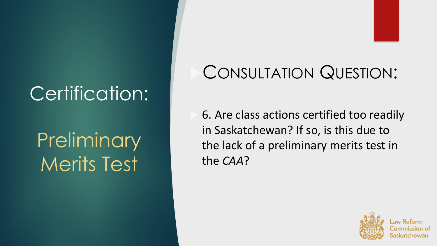# **Preliminary** Merits Test

## CONSULTATION QUESTION:

 6. Are class actions certified too readily in Saskatchewan? If so, is this due to the lack of a preliminary merits test in the *CAA*?

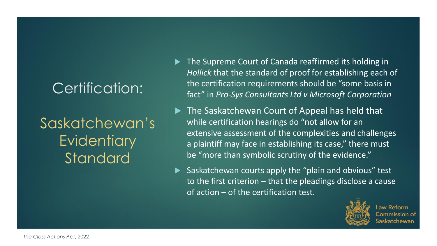Saskatchewan's **Evidentiary Standard** 

- The Supreme Court of Canada reaffirmed its holding in *Hollick* that the standard of proof for establishing each of the certification requirements should be "some basis in fact" in *Pro-Sys Consultants Ltd v Microsoft Corporation*
- The Saskatchewan Court of Appeal has held that while certification hearings do "not allow for an extensive assessment of the complexities and challenges a plaintiff may face in establishing its case," there must be "more than symbolic scrutiny of the evidence."
- Saskatchewan courts apply the "plain and obvious" test to the first criterion – that the pleadings disclose a cause of action – of the certification test.



Law Reform Commission of tchewan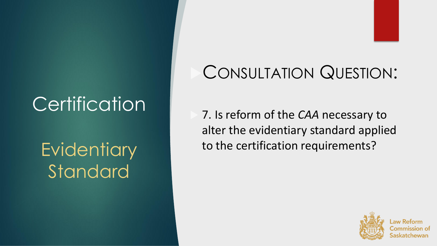## **Evidentiary** Standard

## CONSULTATION QUESTION:

 7. Is reform of the *CAA* necessary to alter the evidentiary standard applied to the certification requirements?

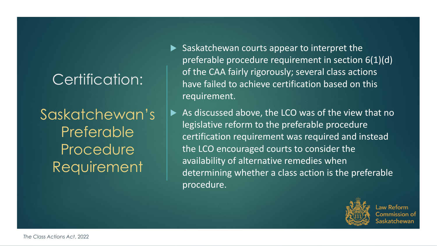Saskatchewan's Preferable **Procedure** Requirement

- $\blacktriangleright$  Saskatchewan courts appear to interpret the preferable procedure requirement in section 6(1)(d) of the CAA fairly rigorously; several class actions have failed to achieve certification based on this requirement.
	- As discussed above, the LCO was of the view that no legislative reform to the preferable procedure certification requirement was required and instead the LCO encouraged courts to consider the availability of alternative remedies when determining whether a class action is the preferable procedure.



 $\mathsf{Law}$  Reform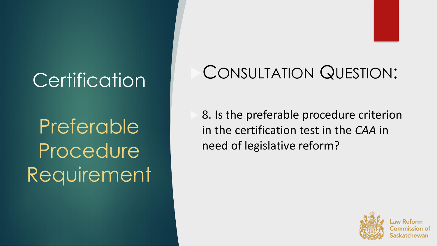**Preferable** Procedure Requirement

## CONSULTATION QUESTION:

 8. Is the preferable procedure criterion in the certification test in the *CAA* in need of legislative reform?

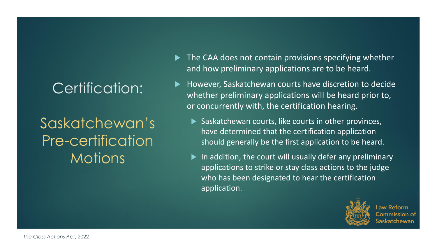Saskatchewan's Pre-certification **Motions** 

- $\blacktriangleright$  The CAA does not contain provisions specifying whether and how preliminary applications are to be heard.
- However, Saskatchewan courts have discretion to decide whether preliminary applications will be heard prior to, or concurrently with, the certification hearing.
	- $\blacktriangleright$  Saskatchewan courts, like courts in other provinces, have determined that the certification application should generally be the first application to be heard.
	- $\blacktriangleright$  In addition, the court will usually defer any preliminary applications to strike or stay class actions to the judge who has been designated to hear the certification application.



Law Reform Commission of atchewan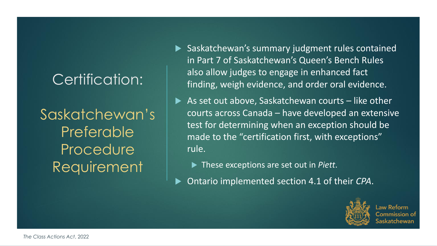Saskatchewan's Preferable Procedure Requirement

- Saskatchewan's summary judgment rules contained in Part 7 of Saskatchewan's Queen's Bench Rules also allow judges to engage in enhanced fact finding, weigh evidence, and order oral evidence.
- As set out above, Saskatchewan courts like other courts across Canada – have developed an extensive test for determining when an exception should be made to the "certification first, with exceptions" rule.
	- ▶ These exceptions are set out in *Piett*.
- Ontario implemented section 4.1 of their *CPA*.



aw Reform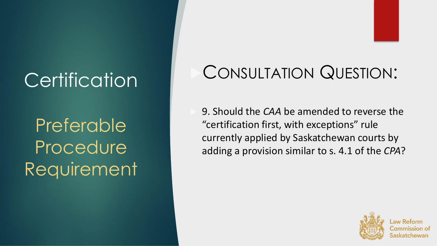Preferable Procedure Requirement

## CONSULTATION QUESTION:

 9. Should the *CAA* be amended to reverse the "certification first, with exceptions" rule currently applied by Saskatchewan courts by adding a provision similar to s. 4.1 of the *CPA*?

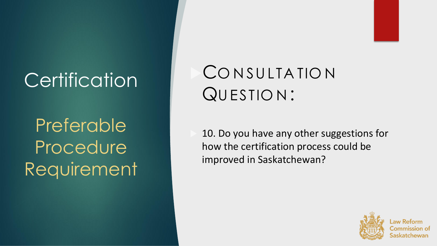Preferable Procedure Requirement

## CONSULTATION QU ESTIO N :

 10. Do you have any other suggestions for how the certification process could be improved in Saskatchewan?

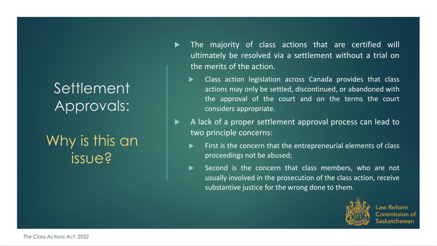#### **Settlement** Approvals:

#### Why is this an issue?

- The majority of class actions that are certified will ultimately be resolved via a settlement without a trial on the merits of the action.
	- **EXEC** Class action legislation across Canada provides that class actions may only be settled, discontinued, or abandoned with the approval of the court and on the terms the court considers appropriate.
- A lack of a proper settlement approval process can lead to two principle concerns:
	- First is the concern that the entrepreneurial elements of class proceedings not be abused;
	- $\blacktriangleright$  Second is the concern that class members, who are not usually involved in the prosecution of the class action, receive substantive justice for the wrong done to them.



Law Reform Commission of tchewan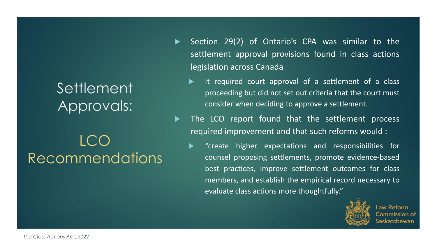## Settlement<sup>'</sup> Approvals:

## $ICO$ Recommendations

- Section 29(2) of Ontario's CPA was similar to the settlement approval provisions found in class actions legislation across Canada
	- It required court approval of a settlement of a class proceeding but did not set out criteria that the court must consider when deciding to approve a settlement.
- The LCO report found that the settlement process required improvement and that such reforms would :
	- **EX**  "create higher expectations and responsibilities for counsel proposing settlements, promote evidence-based best practices, improve settlement outcomes for class members, and establish the empirical record necessary to evaluate class actions more thoughtfully."



Law Reform iommission of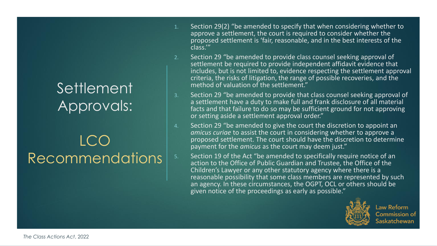#### **Settlement** Approvals:

## LCO Recommendations

- 1. Section 29(2) "be amended to specify that when considering whether to approve a settlement, the court is required to consider whether the proposed settlement is 'fair, reasonable, and in the best interests of the class.'"
- 2. Section 29 "be amended to provide class counsel seeking approval of settlement be required to provide independent affidavit evidence that includes, but is not limited to, evidence respecting the settlement approval criteria, the risks of litigation, the range of possible recoveries, and the method of valuation of the settlement."
- 3. Section 29 "be amended to provide that class counsel seeking approval of a settlement have a duty to make full and frank disclosure of all material facts and that failure to do so may be sufficient ground for not approving or setting aside a settlement approval order."
- 4. Section 29 "be amended to give the court the discretion to appoint an *amicus curiae* to assist the court in considering whether to approve a proposed settlement. The court should have the discretion to determine payment for the *amicus* as the court may deem just."
- 5. Section 19 of the Act "be amended to specifically require notice of an action to the Office of Public Guardian and Trustee, the Office of the Children's Lawyer or any other statutory agency where there is a reasonable possibility that some class members are represented by such an agency. In these circumstances, the OGPT, OCL or others should be given notice of the proceedings as early as possible."



**Law Reform Commission of**  $\mathsf{\small\textsf{s}}$ askatchewan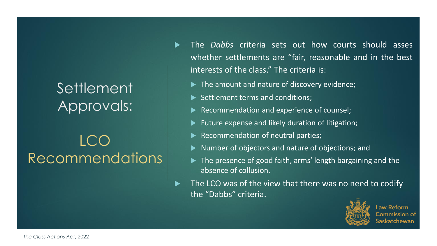## Settlement<sup>'</sup> Approvals:

## LCO Recommendations

- The *Dabbs* criteria sets out how courts should asses whether settlements are "fair, reasonable and in the best interests of the class." The criteria is:
	- The amount and nature of discovery evidence;
	- $\blacktriangleright$  Settlement terms and conditions;
	- Recommendation and experience of counsel;
	- $\blacktriangleright$  Future expense and likely duration of litigation;
	- $\blacktriangleright$  Recommendation of neutral parties;
	- ▶ Number of objectors and nature of objections; and
	- ▶ The presence of good faith, arms' length bargaining and the absence of collusion.
- The LCO was of the view that there was no need to codify the "Dabbs" criteria.



 $\mathsf{\mathsf{\mathsf{\mathsf{L}AW}}}$  Reform ommission of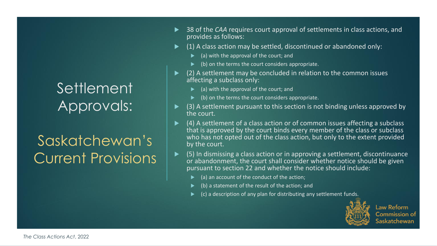#### Settlement Approvals:

## Saskatchewan's Current Provisions

- 38 of the *CAA* requires court approval of settlements in class actions, and provides as follows:
- (1) A class action may be settled, discontinued or abandoned only:
	- (a) with the approval of the court; and
	- (b) on the terms the court considers appropriate.
- (2) A settlement may be concluded in relation to the common issues affecting a subclass only:
	- (a) with the approval of the court; and
	- (b) on the terms the court considers appropriate.
- (3) A settlement pursuant to this section is not binding unless approved by the court.
- (4) A settlement of a class action or of common issues affecting a subclass that is approved by the court binds every member of the class or subclass who has not opted out of the class action, but only to the extent provided by the court.
- ▶ (5) In dismissing a class action or in approving a settlement, discontinuance or abandonment, the court shall consider whether notice should be given pursuant to section 22 and whether the notice should include:
	- (a) an account of the conduct of the action;
	- (b) a statement of the result of the action; and
	- (c) a description of any plan for distributing any settlement funds.



**Law Reform Commission of** askatchewan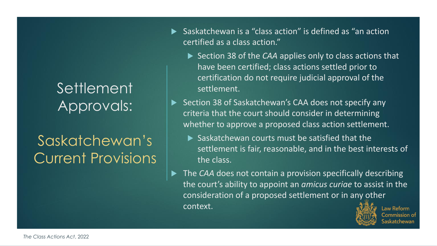#### Settlement Approvals:

## Saskatchewan's Current Provisions

- ▶ Saskatchewan is a "class action" is defined as "an action certified as a class action."
	- ▶ Section 38 of the *CAA* applies only to class actions that have been certified; class actions settled prior to certification do not require judicial approval of the settlement.
	- Section 38 of Saskatchewan's CAA does not specify any criteria that the court should consider in determining whether to approve a proposed class action settlement.
		- Saskatchewan courts must be satisfied that the settlement is fair, reasonable, and in the best interests of the class.
- The *CAA* does not contain a provision specifically describing the court's ability to appoint an *amicus curiae* to assist in the consideration of a proposed settlement or in any other context. Law Reform

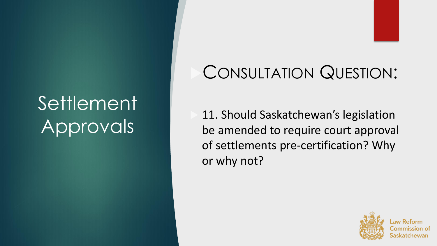## **Settlement** Approvals

## CONSULTATION QUESTION:

 11. Should Saskatchewan's legislation be amended to require court approval of settlements pre-certification? Why or why not?

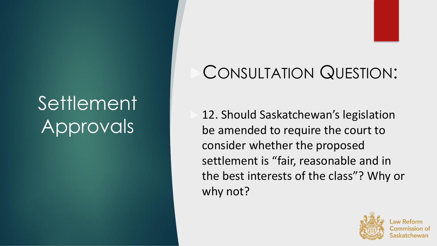## Settlement Approvals

# CONSULTATION QUESTION:

 12. Should Saskatchewan's legislation be amended to require the court to consider whether the proposed settlement is "fair, reasonable and in the best interests of the class"? Why or why not?

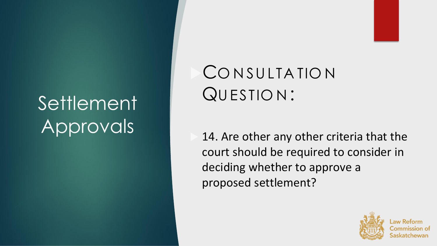## Settlement Approvals

## CONSULTATION QU ESTIO N :

 14. Are other any other criteria that the court should be required to consider in deciding whether to approve a proposed settlement?

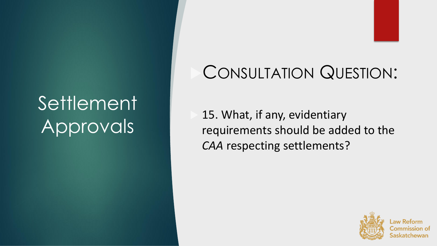## Settlement Approvals

## CONSULTATION QUESTION:

 15. What, if any, evidentiary requirements should be added to the *CAA* respecting settlements?

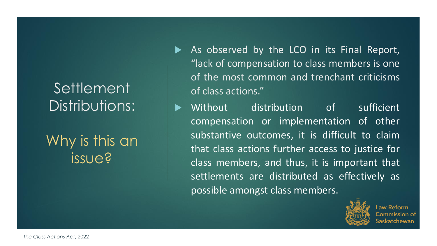## Why is this an issue?

- As observed by the LCO in its Final Report, "lack of compensation to class members is one of the most common and trenchant criticisms of class actions."
- Without distribution of sufficient compensation or implementation of other substantive outcomes, it is difficult to claim that class actions further access to justice for class members, and thus, it is important that settlements are distributed as effectively as possible amongst class members.



aw Reform ommission of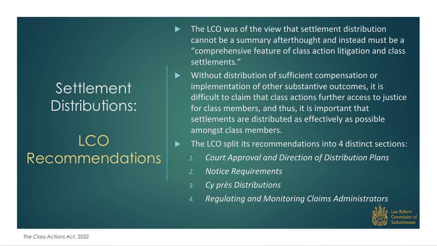## LCO Recommendations

- The LCO was of the view that settlement distribution cannot be a summary afterthought and instead must be a "comprehensive feature of class action litigation and class settlements."
- Without distribution of sufficient compensation or implementation of other substantive outcomes, it is difficult to claim that class actions further access to justice for class members, and thus, it is important that settlements are distributed as effectively as possible amongst class members.
- The LCO split its recommendations into 4 distinct sections:
	- *1. Court Approval and Direction of Distribution Plans*
	- *2. Notice Requirements*
	- *3. Cy près Distributions*
	- *4. Regulating and Monitoring Claims Administrators*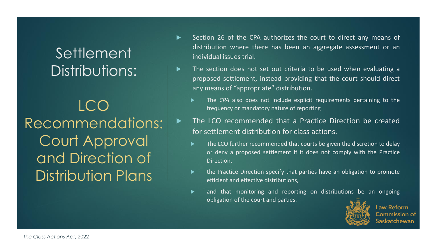LCO Recommendations: Court Approval and Direction of Distribution Plans

- Section 26 of the CPA authorizes the court to direct any means of distribution where there has been an aggregate assessment or an individual issues trial.
- ▶ The section does not set out criteria to be used when evaluating a proposed settlement, instead providing that the court should direct any means of "appropriate" distribution.
	- The *CPA* also does not include explicit requirements pertaining to the frequency or mandatory nature of reporting
- The LCO recommended that a Practice Direction be created for settlement distribution for class actions.
	- The LCO further recommended that courts be given the discretion to delay or deny a proposed settlement if it does not comply with the Practice Direction,
	- $\blacktriangleright$  the Practice Direction specify that parties have an obligation to promote efficient and effective distributions,
	- and that monitoring and reporting on distributions be an ongoing obligation of the court and parties.



**Law Reform** Commission of atchewan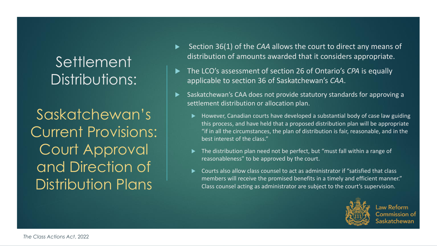Saskatchewan's Current Provisions: Court Approval and Direction of Distribution Plans

- Section 36(1) of the *CAA* allows the court to direct any means of distribution of amounts awarded that it considers appropriate.
- The LCO's assessment of section 26 of Ontario's *CPA* is equally applicable to section 36 of Saskatchewan's *CAA*.
- Saskatchewan's CAA does not provide statutory standards for approving a settlement distribution or allocation plan.
	- However, Canadian courts have developed a substantial body of case law guiding this process, and have held that a proposed distribution plan will be appropriate "if in all the circumstances, the plan of distribution is fair, reasonable, and in the best interest of the class."
	- The distribution plan need not be perfect, but "must fall within a range of reasonableness" to be approved by the court.
	- Courts also allow class counsel to act as administrator if "satisfied that class members will receive the promised benefits in a timely and efficient manner." Class counsel acting as administrator are subject to the court's supervision.



**Law Reform** Commission of katchewan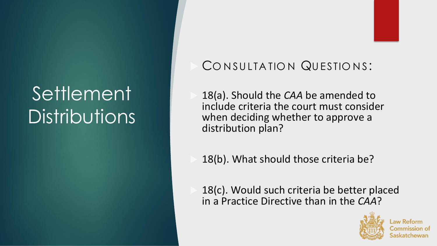#### CONSULTATION QUESTIONS:

 18(a). Should the *CAA* be amended to include criteria the court must consider when deciding whether to approve a distribution plan?

18(b). What should those criteria be?

 18(c). Would such criteria be better placed in a Practice Directive than in the *CAA*?



catchewan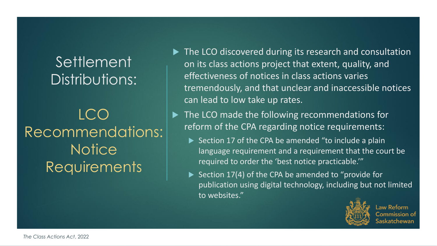## LCO Recommendations: **Notice** Requirements

- ▶ The LCO discovered during its research and consultation on its class actions project that extent, quality, and effectiveness of notices in class actions varies tremendously, and that unclear and inaccessible notices can lead to low take up rates.
- ▶ The LCO made the following recommendations for reform of the CPA regarding notice requirements:
	- Section 17 of the CPA be amended "to include a plain language requirement and a requirement that the court be required to order the 'best notice practicable.'"
	- Section 17(4) of the CPA be amended to "provide for publication using digital technology, including but not limited to websites."



Law Reform iommission of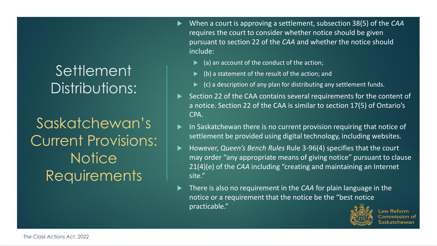#### Settlement<sup>'</sup> Distributions:

Saskatchewan's Current Provisions: **Notice** Requirements

- When a court is approving a settlement, subsection 38(5) of the *CAA*  requires the court to consider whether notice should be given pursuant to section 22 of the *CAA* and whether the notice should include:
	- (a) an account of the conduct of the action;
	- (b) a statement of the result of the action; and
	- (c) a description of any plan for distributing any settlement funds.
- Section 22 of the CAA contains several requirements for the content of a notice. Section 22 of the CAA is similar to section 17(5) of Ontario's CPA.
- In Saskatchewan there is no current provision requiring that notice of settlement be provided using digital technology, including websites.
- However, *Queen's Bench Rules* Rule 3-96(4) specifies that the court may order "any appropriate means of giving notice" pursuant to clause 21(4)(e) of the *CAA* including "creating and maintaining an Internet site."
- There is also no requirement in the *CAA* for plain language in the notice or a requirement that the notice be the "best notice practicable."



Law Reform Commission of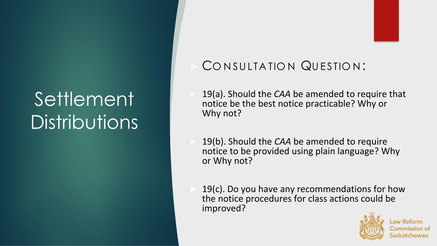#### CONSULTATION QUESTION:

 19(a). Should the *CAA* be amended to require that notice be the best notice practicable? Why or Why not?

 19(b). Should the *CAA* be amended to require notice to be provided using plain language? Why or Why not?

 19(c). Do you have any recommendations for how the notice procedures for class actions could be improved?

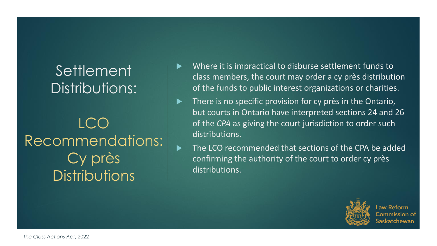## LCO Recommendations: Cy près **Distributions**

- Where it is impractical to disburse settlement funds to class members, the court may order a cy près distribution of the funds to public interest organizations or charities.
- $\blacktriangleright$  There is no specific provision for cy près in the Ontario, but courts in Ontario have interpreted sections 24 and 26 of the *CPA* as giving the court jurisdiction to order such distributions.
- ▶ The LCO recommended that sections of the CPA be added confirming the authority of the court to order cy près distributions.



Law Reform Commission of tchewan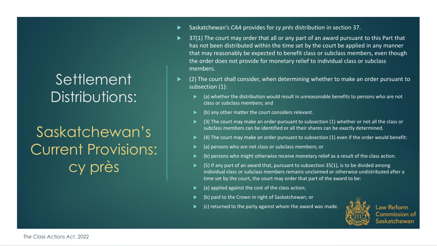## Saskatchewan's Current Provisions: cy près

- Saskatchewan's *CAA* provides for *cy près* distribution in section 37.
- 37(1) The court may order that all or any part of an award pursuant to this Part that has not been distributed within the time set by the court be applied in any manner that may reasonably be expected to benefit class or subclass members, even though the order does not provide for monetary relief to individual class or subclass members.
- (2) The court shall consider, when determining whether to make an order pursuant to subsection (1):
	- (a) whether the distribution would result in unreasonable benefits to persons who are not class or subclass members; and
	- (b) any other matter the court considers relevant.
	- (3) The court may make an order pursuant to subsection (1) whether or not all the class or subclass members can be identified or all their shares can be exactly determined.
	- (4) The court may make an order pursuant to subsection (1) even if the order would benefit:
	- (a) persons who are not class or subclass members; or
	- (b) persons who might otherwise receive monetary relief as a result of the class action.
	- (5) If any part of an award that, pursuant to subsection 35(1), is to be divided among individual class or subclass members remains unclaimed or otherwise undistributed after a time set by the court, the court may order that part of the award to be:
	- (a) applied against the cost of the class action;
	- (b) paid to the Crown in right of Saskatchewan; or
	- (c) returned to the party against whom the award was made.



**Law Reform** Commission of askatchewan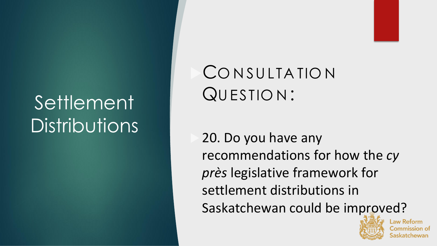## CONSULTATION QU ESTIO N :

 20. Do you have any recommendations for how the *cy près* legislative framework for settlement distributions in Saskatchewan could be improved?

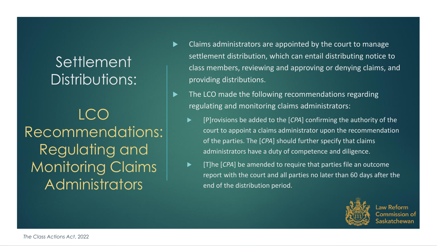LCO Recommendations: Regulating and Monitoring Claims Administrators

- $\blacktriangleright$  Claims administrators are appointed by the court to manage settlement distribution, which can entail distributing notice to class members, reviewing and approving or denying claims, and providing distributions.
- ▶ The LCO made the following recommendations regarding regulating and monitoring claims administrators:
	- **Fight** [P]rovisions be added to the [*CPA*] confirming the authority of the court to appoint a claims administrator upon the recommendation of the parties. The [*CPA*] should further specify that claims administrators have a duty of competence and diligence.
	- [T]he [*CPA*] be amended to require that parties file an outcome report with the court and all parties no later than 60 days after the end of the distribution period.



Law Reform iommission of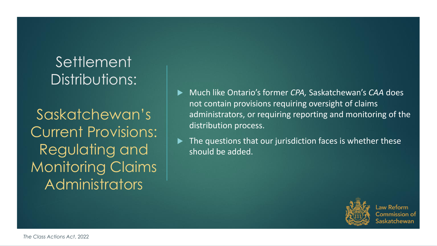Saskatchewan's Current Provisions: Regulating and Monitoring Claims Administrators

- Much like Ontario's former *CPA,* Saskatchewan's *CAA* does not contain provisions requiring oversight of claims administrators, or requiring reporting and monitoring of the distribution process.
- The questions that our jurisdiction faces is whether these should be added.



Law Reform Commission of atchewan: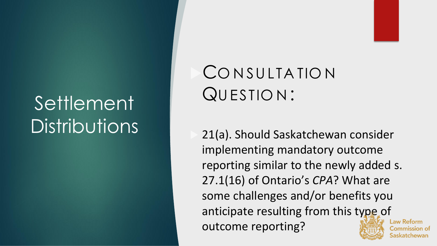## CONSULTATION QU ESTIO N :

 21(a). Should Saskatchewan consider implementing mandatory outcome reporting similar to the newly added s. 27.1(16) of Ontario's *CPA*? What are some challenges and/or benefits you anticipate resulting from this type of outcome reporting?



\_aw Reform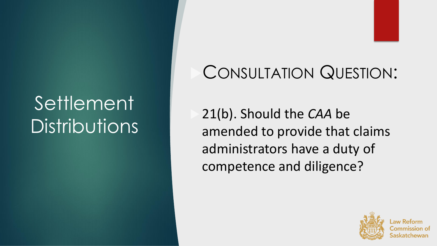## CONSULTATION QUESTION:

 21(b). Should the *CAA* be amended to provide that claims administrators have a duty of competence and diligence?

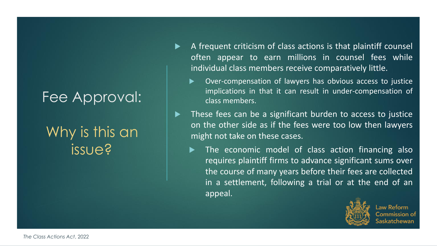## Why is this an issue?

- A frequent criticism of class actions is that plaintiff counsel often appear to earn millions in counsel fees while individual class members receive comparatively little.
	- Over-compensation of lawyers has obvious access to justice implications in that it can result in under-compensation of class members.
- ▶ These fees can be a significant burden to access to justice on the other side as if the fees were too low then lawyers might not take on these cases.
	- The economic model of class action financing also requires plaintiff firms to advance significant sums over the course of many years before their fees are collected in a settlement, following a trial or at the end of an appeal.



Law Reform iommission o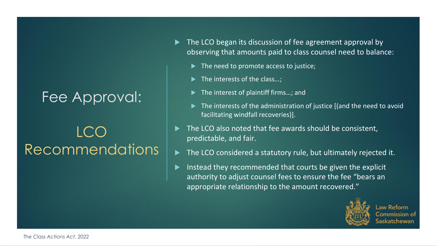## **LCC** Recommendations

- The LCO began its discussion of fee agreement approval by observing that amounts paid to class counsel need to balance:
	- $\blacktriangleright$  The need to promote access to justice;
	- $\blacktriangleright$  The interests of the class...;
	- ▶ The interest of plaintiff firms...; and
	- $\blacktriangleright$  The interests of the administration of justice [(and the need to avoid facilitating windfall recoveries)].
- The LCO also noted that fee awards should be consistent, predictable, and fair.
- The LCO considered a statutory rule, but ultimately rejected it.
- Instead they recommended that courts be given the explicit authority to adjust counsel fees to ensure the fee "bears an appropriate relationship to the amount recovered."



Law Reform Commission of tchewan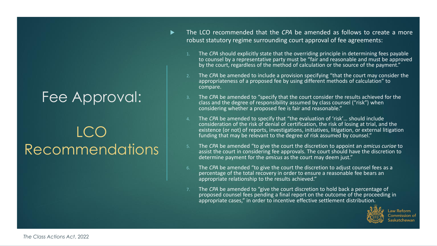## LCO Recommendations

- The LCO recommended that the *CPA* be amended as follows to create a more robust statutory regime surrounding court approval of fee agreements:
	- 1. The *CPA* should explicitly state that the overriding principle in determining fees payable to counsel by a representative party must be "fair and reasonable and must be approved by the court, regardless of the method of calculation or the source of the payment."
	- 2. The *CPA* be amended to include a provision specifying "that the court may consider the appropriateness of a proposed fee by using different methods of calculation" to compare.
	- 3. The *CPA* be amended to "specify that the court consider the results achieved for the class and the degree of responsibility assumed by class counsel ("risk") when considering whether a proposed fee is fair and reasonable."
	- 4. The *CPA* be amended to specify that "the evaluation of 'risk'… should include consideration of the risk of denial of certification, the risk of losing at trial, and the existence (or not) of reports, investigations, initiatives, litigation, or external litigation funding that may be relevant to the degree of risk assumed by counsel."
	- 5. The *CPA* be amended "to give the court the discretion to appoint an *amicus curiae* to assist the court in considering fee approvals. The court should have the discretion to determine payment for the *amicus* as the court may deem just."
	- 6. The *CPA* be amended "to give the court the discretion to adjust counsel fees as a percentage of the total recovery in order to ensure a reasonable fee bears an appropriate relationship to the results achieved."
	- 7. The *CPA* be amended to "give the court discretion to hold back a percentage of proposed counsel fees pending a final report on the outcome of the proceeding in appropriate cases," in order to incentive effective settlement distribution.

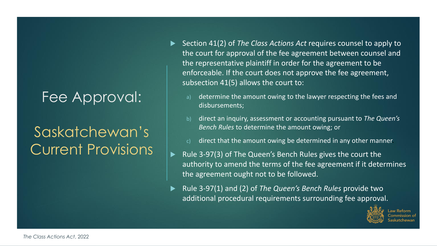## Saskatchewan's Current Provisions

- ▶ Section 41(2) of *The Class Actions Act* requires counsel to apply to the court for approval of the fee agreement between counsel and the representative plaintiff in order for the agreement to be enforceable. If the court does not approve the fee agreement, subsection 41(5) allows the court to:
	- determine the amount owing to the lawyer respecting the fees and disbursements;
	- b) direct an inquiry, assessment or accounting pursuant to *The Queen's Bench Rules* to determine the amount owing; or
	- direct that the amount owing be determined in any other manner.
- Rule 3-97(3) of The Queen's Bench Rules gives the court the authority to amend the terms of the fee agreement if it determines the agreement ought not to be followed.
- Rule 3-97(1) and (2) of *The Queen's Bench Rules* provide two additional procedural requirements surrounding fee approval.

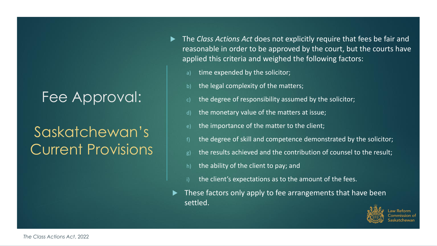## Saskatchewan's Current Provisions

- ▶ The *Class Actions Act* does not explicitly require that fees be fair and reasonable in order to be approved by the court, but the courts have applied this criteria and weighed the following factors:
	- time expended by the solicitor;
	- the legal complexity of the matters;
	- the degree of responsibility assumed by the solicitor;
	- the monetary value of the matters at issue;
	- the importance of the matter to the client;
	- the degree of skill and competence demonstrated by the solicitor;
	- the results achieved and the contribution of counsel to the result;
	- the ability of the client to pay; and
	- the client's expectations as to the amount of the fees.
- These factors only apply to fee arrangements that have been settled.

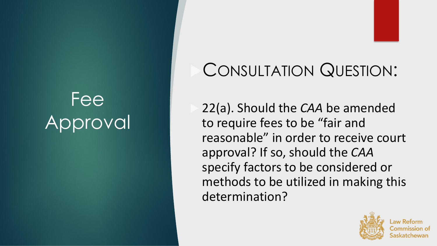## CONSULTATION QUESTION:

 22(a). Should the *CAA* be amended to require fees to be "fair and reasonable" in order to receive court approval? If so, should the *CAA*  specify factors to be considered or methods to be utilized in making this determination?

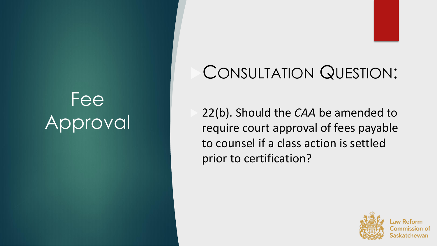## CONSULTATION QUESTION:

 22(b). Should the *CAA* be amended to require court approval of fees payable to counsel if a class action is settled prior to certification?

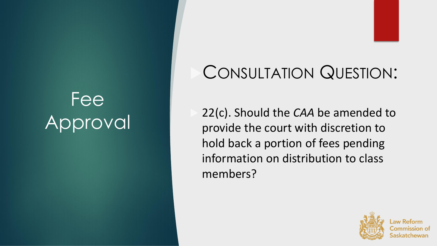## CONSULTATION QUESTION:

 22(c). Should the *CAA* be amended to provide the court with discretion to hold back a portion of fees pending information on distribution to class members?

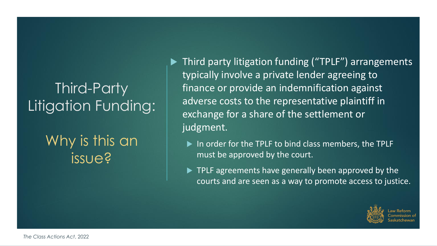## Third-Party Litigation Funding:

#### Why is this an issue?

▶ Third party litigation funding ("TPLF") arrangements typically involve a private lender agreeing to finance or provide an indemnification against adverse costs to the representative plaintiff in exchange for a share of the settlement or judgment.

- In order for the TPLF to bind class members, the TPLF must be approved by the court.
- **TPLF** agreements have generally been approved by the courts and are seen as a way to promote access to justice.

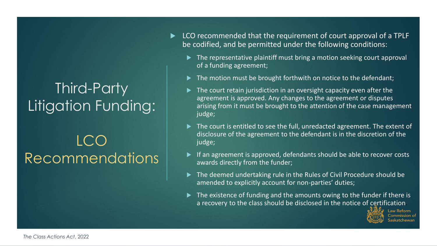## Third-Party Litigation Funding:

LCO Recommendations

- ► LCO recommended that the requirement of court approval of a TPLF be codified, and be permitted under the following conditions:
	- $\blacktriangleright$  The representative plaintiff must bring a motion seeking court approval of a funding agreement;
	- The motion must be brought forthwith on notice to the defendant;
	- The court retain jurisdiction in an oversight capacity even after the agreement is approved. Any changes to the agreement or disputes arising from it must be brought to the attention of the case management judge;
	- ▶ The court is entitled to see the full, unredacted agreement. The extent of disclosure of the agreement to the defendant is in the discretion of the judge;
	- If an agreement is approved, defendants should be able to recover costs awards directly from the funder;
	- The deemed undertaking rule in the Rules of Civil Procedure should be amended to explicitly account for non-parties' duties;
	- The existence of funding and the amounts owing to the funder if there is a recovery to the class should be disclosed in the notice of certification.

ıw Reform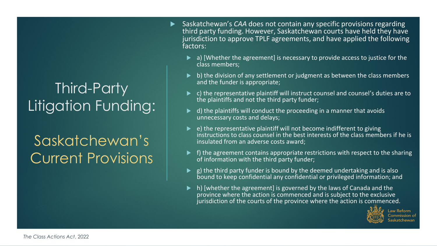## Third-Party Litigation Funding:

## Saskatchewan's Current Provisions

- Saskatchewan's *CAA* does not contain any specific provisions regarding third party funding. However, Saskatchewan courts have held they have jurisdiction to approve TPLF agreements, and have applied the following factors:
	- a) [Whether the agreement] is necessary to provide access to justice for the class members;
	- b) the division of any settlement or judgment as between the class members and the funder is appropriate;
	- c) the representative plaintiff will instruct counsel and counsel's duties are to the plaintiffs and not the third party funder;
	- d) the plaintiffs will conduct the proceeding in a manner that avoids unnecessary costs and delays;
	- $\blacktriangleright$  e) the representative plaintiff will not become indifferent to giving instructions to class counsel in the best interests of the class members if he is insulated from an adverse costs award;
	- f) the agreement contains appropriate restrictions with respect to the sharing of information with the third party funder;
	- g) the third party funder is bound by the deemed undertaking and is also bound to keep confidential any confidential or privileged information; and
	- h) [whether the agreement] is governed by the laws of Canada and the province where the action is commenced and is subject to the exclusive jurisdiction of the courts of the province where the action is commenced.

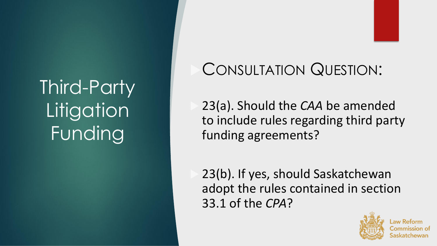Third-Party **Litigation** Funding

## CONSULTATION QUESTION:

 23(a). Should the *CAA* be amended to include rules regarding third party funding agreements?

 23(b). If yes, should Saskatchewan adopt the rules contained in section 33.1 of the *CPA*?

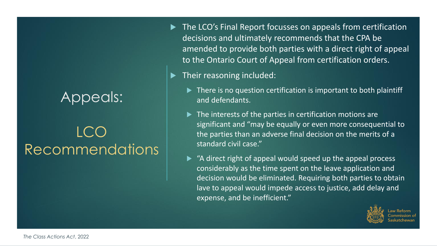## LCC Recommendations

The LCO's Final Report focusses on appeals from certification decisions and ultimately recommends that the CPA be amended to provide both parties with a direct right of appeal to the Ontario Court of Appeal from certification orders.

 $\blacktriangleright$  Their reasoning included:

- ▶ There is no question certification is important to both plaintiff and defendants.
- $\blacktriangleright$  The interests of the parties in certification motions are significant and "may be equally or even more consequential to the parties than an adverse final decision on the merits of a standard civil case."
- ▶ "A direct right of appeal would speed up the appeal process considerably as the time spent on the leave application and decision would be eliminated. Requiring both parties to obtain lave to appeal would impede access to justice, add delay and expense, and be inefficient."

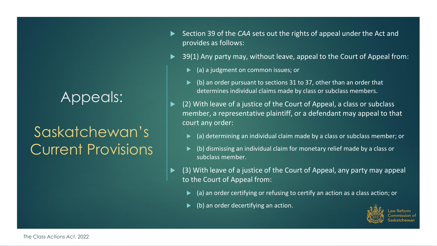## Saskatchewan's Current Provisions

- ▶ Section 39 of the *CAA* sets out the rights of appeal under the Act and provides as follows:
- ▶ 39(1) Any party may, without leave, appeal to the Court of Appeal from:
	- (a) a judgment on common issues; or
	- (b) an order pursuant to sections 31 to 37, other than an order that determines individual claims made by class or subclass members.
- (2) With leave of a justice of the Court of Appeal, a class or subclass member, a representative plaintiff, or a defendant may appeal to that court any order:
	- (a) determining an individual claim made by a class or subclass member; or
	- (b) dismissing an individual claim for monetary relief made by a class or subclass member.
- (3) With leave of a justice of the Court of Appeal, any party may appeal to the Court of Appeal from:
	- (a) an order certifying or refusing to certify an action as a class action; or
	- (b) an order decertifying an action.

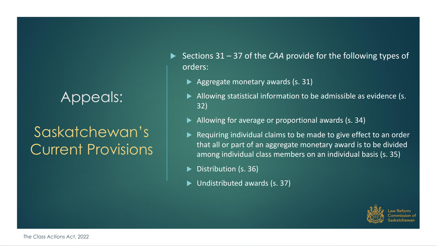## Saskatchewan's Current Provisions

▶ Sections 31 – 37 of the *CAA* provide for the following types of orders:

- Aggregate monetary awards (s. 31)
- Allowing statistical information to be admissible as evidence (s. 32)
- Allowing for average or proportional awards (s. 34)
- Requiring individual claims to be made to give effect to an order that all or part of an aggregate monetary award is to be divided among individual class members on an individual basis (s. 35)
- Distribution (s. 36)
- Undistributed awards (s. 37)

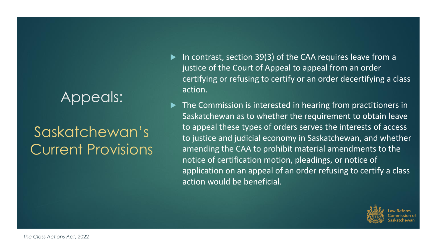## Saskatchewan's Current Provisions

- In contrast, section 39(3) of the CAA requires leave from a justice of the Court of Appeal to appeal from an order certifying or refusing to certify or an order decertifying a class action.
- The Commission is interested in hearing from practitioners in Saskatchewan as to whether the requirement to obtain leave to appeal these types of orders serves the interests of access to justice and judicial economy in Saskatchewan, and whether amending the CAA to prohibit material amendments to the notice of certification motion, pleadings, or notice of application on an appeal of an order refusing to certify a class action would be beneficial.

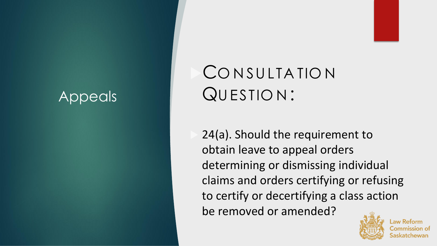## CONSULTATION QU ESTIO N :

 24(a). Should the requirement to obtain leave to appeal orders determining or dismissing individual claims and orders certifying or refusing to certify or decertifying a class action be removed or amended?

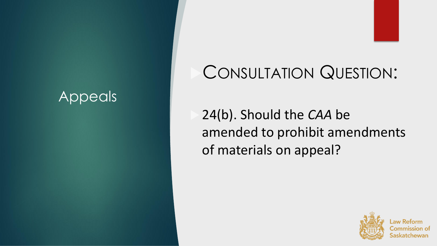## CONSULTATION QUESTION:

 24(b). Should the *CAA* be amended to prohibit amendments of materials on appeal?

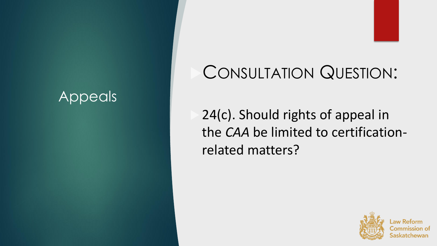## CONSULTATION QUESTION:

 24(c). Should rights of appeal in the *CAA* be limited to certificationrelated matters?